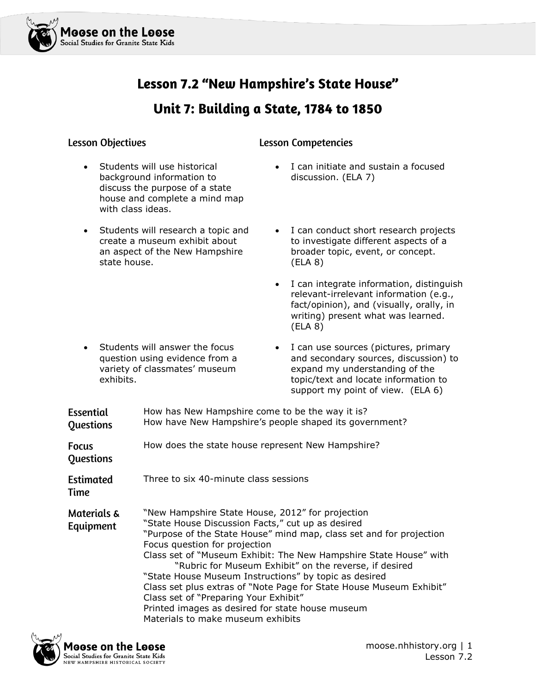

# Lesson 7.2 "New Hampshire's State House"

### Unit 7: Building a State, 1784 to 1850

### **Lesson Objectives**

### **Lesson Competencies**

- Students will use historical background information to discuss the purpose of a state house and complete a mind map with class ideas.
- Students will research a topic and create a museum exhibit about an aspect of the New Hampshire state house.
- I can initiate and sustain a focused discussion. (ELA 7)
- I can conduct short research projects to investigate different aspects of a broader topic, event, or concept. (ELA 8)
- I can integrate information, distinguish relevant-irrelevant information (e.g., fact/opinion), and (visually, orally, in writing) present what was learned. (ELA 8)
- Students will answer the focus question using evidence from a variety of classmates' museum exhibits.
- I can use sources (pictures, primary and secondary sources, discussion) to expand my understanding of the topic/text and locate information to support my point of view. (ELA 6)

| <b>Essential</b><br>Questions       | How has New Hampshire come to be the way it is?<br>How have New Hampshire's people shaped its government?                                                                                                                                                                                                                                                                                                                                                                                                                                                                                                      |
|-------------------------------------|----------------------------------------------------------------------------------------------------------------------------------------------------------------------------------------------------------------------------------------------------------------------------------------------------------------------------------------------------------------------------------------------------------------------------------------------------------------------------------------------------------------------------------------------------------------------------------------------------------------|
| <b>Focus</b><br>Questions           | How does the state house represent New Hampshire?                                                                                                                                                                                                                                                                                                                                                                                                                                                                                                                                                              |
| <b>Estimated</b><br>Time            | Three to six 40-minute class sessions                                                                                                                                                                                                                                                                                                                                                                                                                                                                                                                                                                          |
| <b>Materials &amp;</b><br>Equipment | "New Hampshire State House, 2012" for projection<br>"State House Discussion Facts," cut up as desired<br>"Purpose of the State House" mind map, class set and for projection<br>Focus question for projection<br>Class set of "Museum Exhibit: The New Hampshire State House" with<br>"Rubric for Museum Exhibit" on the reverse, if desired<br>"State House Museum Instructions" by topic as desired<br>Class set plus extras of "Note Page for State House Museum Exhibit"<br>Class set of "Preparing Your Exhibit"<br>Printed images as desired for state house museum<br>Materials to make museum exhibits |

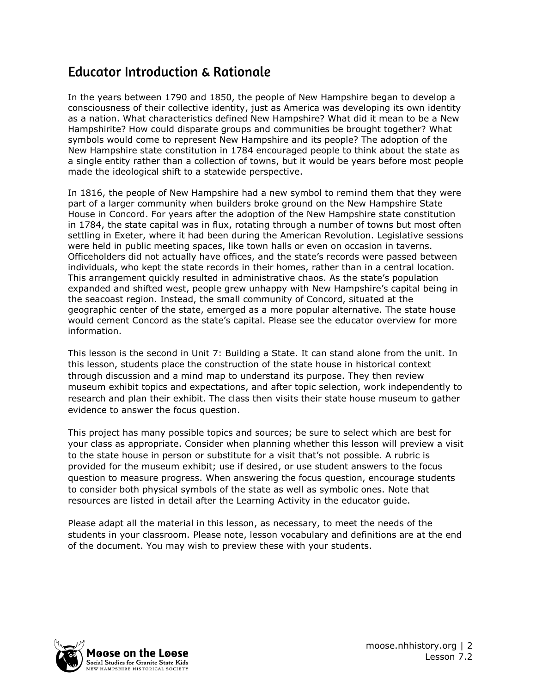### **Educator Introduction & Rationale**

In the years between 1790 and 1850, the people of New Hampshire began to develop a consciousness of their collective identity, just as America was developing its own identity as a nation. What characteristics defined New Hampshire? What did it mean to be a New Hampshirite? How could disparate groups and communities be brought together? What symbols would come to represent New Hampshire and its people? The adoption of the New Hampshire state constitution in 1784 encouraged people to think about the state as a single entity rather than a collection of towns, but it would be years before most people made the ideological shift to a statewide perspective.

In 1816, the people of New Hampshire had a new symbol to remind them that they were part of a larger community when builders broke ground on the New Hampshire State House in Concord. For years after the adoption of the New Hampshire state constitution in 1784, the state capital was in flux, rotating through a number of towns but most often settling in Exeter, where it had been during the American Revolution. Legislative sessions were held in public meeting spaces, like town halls or even on occasion in taverns. Officeholders did not actually have offices, and the state's records were passed between individuals, who kept the state records in their homes, rather than in a central location. This arrangement quickly resulted in administrative chaos. As the state's population expanded and shifted west, people grew unhappy with New Hampshire's capital being in the seacoast region. Instead, the small community of Concord, situated at the geographic center of the state, emerged as a more popular alternative. The state house would cement Concord as the state's capital. Please see the educator overview for more information.

This lesson is the second in Unit 7: Building a State. It can stand alone from the unit. In this lesson, students place the construction of the state house in historical context through discussion and a mind map to understand its purpose. They then review museum exhibit topics and expectations, and after topic selection, work independently to research and plan their exhibit. The class then visits their state house museum to gather evidence to answer the focus question.

This project has many possible topics and sources; be sure to select which are best for your class as appropriate. Consider when planning whether this lesson will preview a visit to the state house in person or substitute for a visit that's not possible. A rubric is provided for the museum exhibit; use if desired, or use student answers to the focus question to measure progress. When answering the focus question, encourage students to consider both physical symbols of the state as well as symbolic ones. Note that resources are listed in detail after the Learning Activity in the educator guide.

Please adapt all the material in this lesson, as necessary, to meet the needs of the students in your classroom. Please note, lesson vocabulary and definitions are at the end of the document. You may wish to preview these with your students.

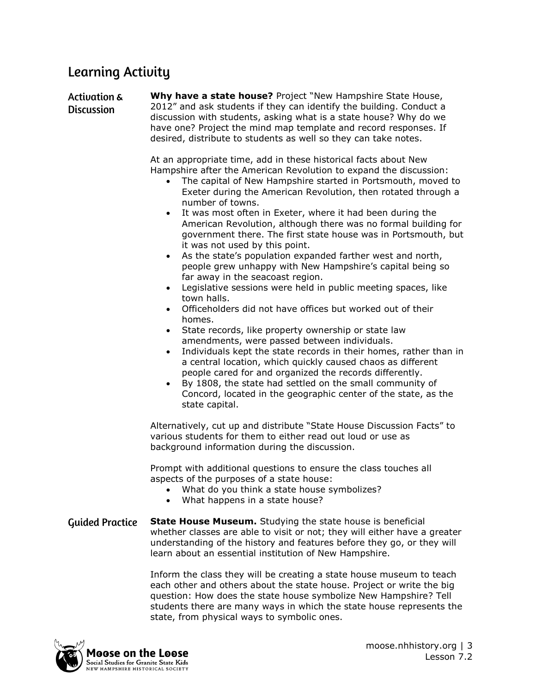### **Learning Activity**

**Activation & Why have a state house?** Project "New Hampshire State House, 2012" and ask students if they can identify the building. Conduct a **Discussion** discussion with students, asking what is a state house? Why do we have one? Project the mind map template and record responses. If desired, distribute to students as well so they can take notes.

> At an appropriate time, add in these historical facts about New Hampshire after the American Revolution to expand the discussion:

- The capital of New Hampshire started in Portsmouth, moved to Exeter during the American Revolution, then rotated through a number of towns.
- It was most often in Exeter, where it had been during the American Revolution, although there was no formal building for government there. The first state house was in Portsmouth, but it was not used by this point.
- As the state's population expanded farther west and north, people grew unhappy with New Hampshire's capital being so far away in the seacoast region.
- Legislative sessions were held in public meeting spaces, like town halls.
- Officeholders did not have offices but worked out of their homes.
- State records, like property ownership or state law amendments, were passed between individuals.
- Individuals kept the state records in their homes, rather than in a central location, which quickly caused chaos as different people cared for and organized the records differently.
- By 1808, the state had settled on the small community of Concord, located in the geographic center of the state, as the state capital.

Alternatively, cut up and distribute "State House Discussion Facts" to various students for them to either read out loud or use as background information during the discussion.

Prompt with additional questions to ensure the class touches all aspects of the purposes of a state house:

- What do you think a state house symbolizes?
- What happens in a state house?
- **State House Museum.** Studying the state house is beneficial **Guided Practice** whether classes are able to visit or not; they will either have a greater understanding of the history and features before they go, or they will learn about an essential institution of New Hampshire.

Inform the class they will be creating a state house museum to teach each other and others about the state house. Project or write the big question: How does the state house symbolize New Hampshire? Tell students there are many ways in which the state house represents the state, from physical ways to symbolic ones.

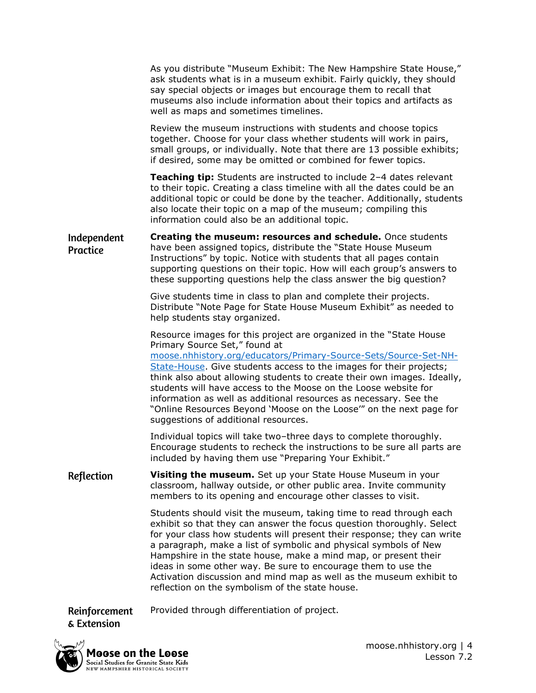|                                | As you distribute "Museum Exhibit: The New Hampshire State House,"<br>ask students what is in a museum exhibit. Fairly quickly, they should<br>say special objects or images but encourage them to recall that<br>museums also include information about their topics and artifacts as<br>well as maps and sometimes timelines.                                                                                                                                                                                                                                                  |
|--------------------------------|----------------------------------------------------------------------------------------------------------------------------------------------------------------------------------------------------------------------------------------------------------------------------------------------------------------------------------------------------------------------------------------------------------------------------------------------------------------------------------------------------------------------------------------------------------------------------------|
|                                | Review the museum instructions with students and choose topics<br>together. Choose for your class whether students will work in pairs,<br>small groups, or individually. Note that there are 13 possible exhibits;<br>if desired, some may be omitted or combined for fewer topics.                                                                                                                                                                                                                                                                                              |
|                                | Teaching tip: Students are instructed to include 2-4 dates relevant<br>to their topic. Creating a class timeline with all the dates could be an<br>additional topic or could be done by the teacher. Additionally, students<br>also locate their topic on a map of the museum; compiling this<br>information could also be an additional topic.                                                                                                                                                                                                                                  |
| Independent<br><b>Practice</b> | Creating the museum: resources and schedule. Once students<br>have been assigned topics, distribute the "State House Museum<br>Instructions" by topic. Notice with students that all pages contain<br>supporting questions on their topic. How will each group's answers to<br>these supporting questions help the class answer the big question?                                                                                                                                                                                                                                |
|                                | Give students time in class to plan and complete their projects.<br>Distribute "Note Page for State House Museum Exhibit" as needed to<br>help students stay organized.                                                                                                                                                                                                                                                                                                                                                                                                          |
|                                | Resource images for this project are organized in the "State House<br>Primary Source Set," found at<br>moose.nhhistory.org/educators/Primary-Source-Sets/Source-Set-NH-<br>State-House. Give students access to the images for their projects;<br>think also about allowing students to create their own images. Ideally,<br>students will have access to the Moose on the Loose website for<br>information as well as additional resources as necessary. See the<br>"Online Resources Beyond 'Moose on the Loose'" on the next page for<br>suggestions of additional resources. |
|                                | Individual topics will take two-three days to complete thoroughly.<br>Encourage students to recheck the instructions to be sure all parts are<br>included by having them use "Preparing Your Exhibit."                                                                                                                                                                                                                                                                                                                                                                           |
| Reflection                     | Visiting the museum. Set up your State House Museum in your<br>classroom, hallway outside, or other public area. Invite community<br>members to its opening and encourage other classes to visit.                                                                                                                                                                                                                                                                                                                                                                                |
|                                | Students should visit the museum, taking time to read through each<br>exhibit so that they can answer the focus question thoroughly. Select<br>for your class how students will present their response; they can write<br>a paragraph, make a list of symbolic and physical symbols of New<br>Hampshire in the state house, make a mind map, or present their<br>ideas in some other way. Be sure to encourage them to use the<br>Activation discussion and mind map as well as the museum exhibit to<br>reflection on the symbolism of the state house.                         |

Reinforcement Provided through differentiation of project. & Extension

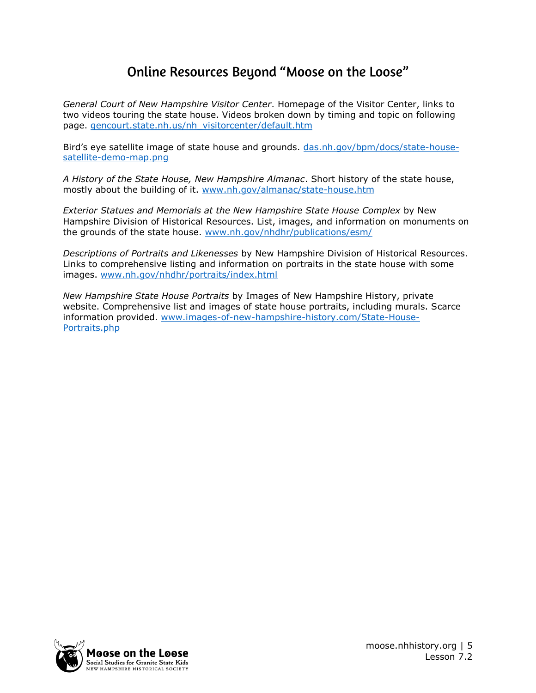### Online Resources Beyond "Moose on the Loose"

*General Court of New Hampshire Visitor Center*. Homepage of the Visitor Center, links to two videos touring the state house. Videos broken down by timing and topic on following page. [gencourt.state.nh.us/nh\\_visitorcenter/default.htm](http://gencourt.state.nh.us/nh_visitorcenter/default.htm)

Bird's eye satellite image of state house and grounds. [das.nh.gov/bpm/docs/state-house](https://das.nh.gov/bpm/docs/state-house-satellite-demo-map.png)[satellite-demo-map.png](https://das.nh.gov/bpm/docs/state-house-satellite-demo-map.png) 

*A History of the State House, New Hampshire Almanac*. Short history of the state house, mostly about the building of it. [www.nh.gov/almanac/state-house.htm](http://www.nh.gov/almanac/state-house.htm) 

*Exterior Statues and Memorials at the New Hampshire State House Complex* by New Hampshire Division of Historical Resources. List, images, and information on monuments on the grounds of the state house. [www.nh.gov/nhdhr/publications/esm/](http://www.nh.gov/nhdhr/publications/esm/)

*Descriptions of Portraits and Likenesses* by New Hampshire Division of Historical Resources. Links to comprehensive listing and information on portraits in the state house with some images. [www.nh.gov/nhdhr/portraits/index.html](http://www.nh.gov/nhdhr/portraits/index.html)

*New Hampshire State House Portraits* by Images of New Hampshire History, private website. Comprehensive list and images of state house portraits, including murals. Scarce information provided. [www.images-of-new-hampshire-history.com/State-House-](http://www.images-of-new-hampshire-history.com/State-House-Portraits.php)[Portraits.php](http://www.images-of-new-hampshire-history.com/State-House-Portraits.php)

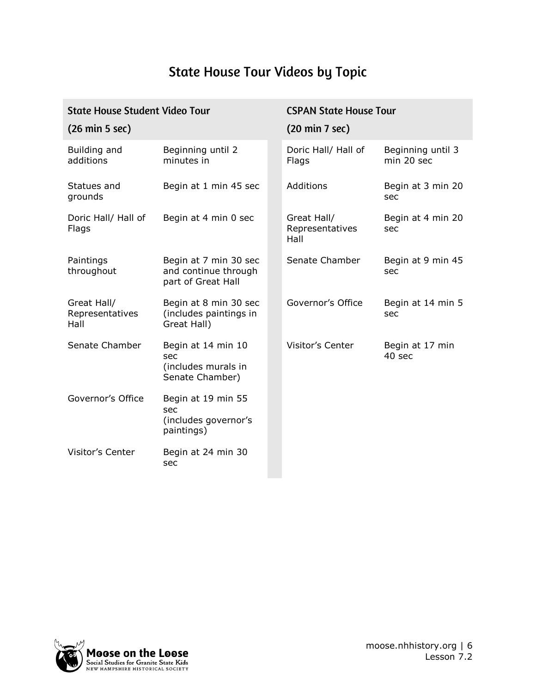# **State House Tour Videos by Topic**

| <b>State House Student Video Tour</b>  |                                                                     |  | <b>CSPAN State House Tour</b>          |                                 |  |
|----------------------------------------|---------------------------------------------------------------------|--|----------------------------------------|---------------------------------|--|
| $(26 \text{ min } 5 \text{ sec})$      |                                                                     |  | (20 min 7 sec)                         |                                 |  |
| Building and<br>additions              | Beginning until 2<br>minutes in                                     |  | Doric Hall/ Hall of<br>Flags           | Beginning until 3<br>min 20 sec |  |
| Statues and<br>grounds                 | Begin at 1 min 45 sec                                               |  | Additions                              | Begin at 3 min 20<br>sec        |  |
| Doric Hall/ Hall of<br>Flags           | Begin at 4 min 0 sec                                                |  | Great Hall/<br>Representatives<br>Hall | Begin at 4 min 20<br>sec        |  |
| Paintings<br>throughout                | Begin at 7 min 30 sec<br>and continue through<br>part of Great Hall |  | Senate Chamber                         | Begin at 9 min 45<br>sec        |  |
| Great Hall/<br>Representatives<br>Hall | Begin at 8 min 30 sec<br>(includes paintings in<br>Great Hall)      |  | Governor's Office                      | Begin at 14 min 5<br>sec        |  |
| Senate Chamber                         | Begin at 14 min 10<br>sec<br>(includes murals in<br>Senate Chamber) |  | <b>Visitor's Center</b>                | Begin at 17 min<br>40 sec       |  |
| Governor's Office                      | Begin at 19 min 55<br>sec<br>(includes governor's<br>paintings)     |  |                                        |                                 |  |
| <b>Visitor's Center</b>                | Begin at 24 min 30<br>sec                                           |  |                                        |                                 |  |

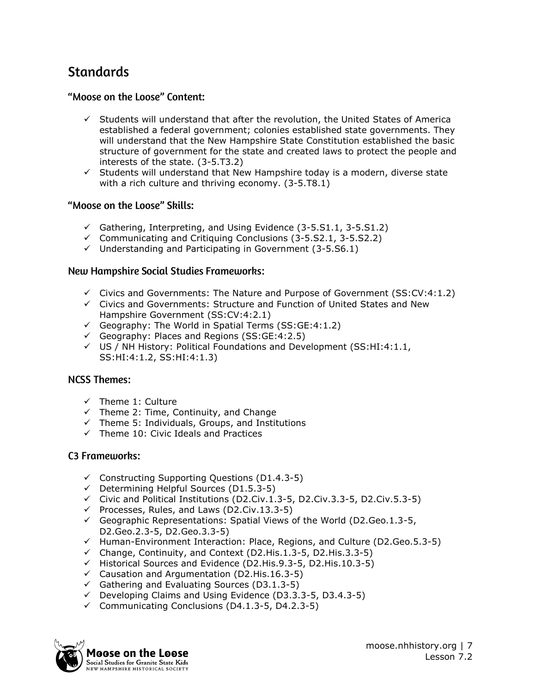### **Standards**

### "Moose on the Loose" Content:

- $\checkmark$  Students will understand that after the revolution, the United States of America established a federal government; colonies established state governments. They will understand that the New Hampshire State Constitution established the basic structure of government for the state and created laws to protect the people and interests of the state. (3-5.T3.2)
- $\checkmark$  Students will understand that New Hampshire today is a modern, diverse state with a rich culture and thriving economy. (3-5.T8.1)

#### "Moose on the Loose" Skills:

- $\checkmark$  Gathering, Interpreting, and Using Evidence (3-5.S1.1, 3-5.S1.2)
- $\checkmark$  Communicating and Critiquing Conclusions (3-5.52.1, 3-5.52.2)
- $\checkmark$  Understanding and Participating in Government (3-5.56.1)

#### **New Hampshire Social Studies Frameworks:**

- $\checkmark$  Civics and Governments: The Nature and Purpose of Government (SS:CV:4:1.2)
- ✓ Civics and Governments: Structure and Function of United States and New Hampshire Government (SS:CV:4:2.1)
- $\checkmark$  Geography: The World in Spatial Terms (SS:GE:4:1.2)
- ✓ Geography: Places and Regions (SS:GE:4:2.5)
- $\checkmark$  US / NH History: Political Foundations and Development (SS:HI:4:1.1, SS:HI:4:1.2, SS:HI:4:1.3)

#### **NCSS Themes:**

- ✓ Theme 1: Culture
- $\checkmark$  Theme 2: Time, Continuity, and Change
- $\checkmark$  Theme 5: Individuals, Groups, and Institutions
- ✓ Theme 10: Civic Ideals and Practices

#### **C3 Frameworks:**

- $\checkmark$  Constructing Supporting Questions (D1.4.3-5)
- ✓ Determining Helpful Sources (D1.5.3-5)
- ✓ Civic and Political Institutions (D2.Civ.1.3-5, D2.Civ.3.3-5, D2.Civ.5.3-5)
- ✓ Processes, Rules, and Laws (D2.Civ.13.3-5)
- $\checkmark$  Geographic Representations: Spatial Views of the World (D2.Geo.1.3-5, D2.Geo.2.3-5, D2.Geo.3.3-5)
- $\checkmark$  Human-Environment Interaction: Place, Regions, and Culture (D2.Geo.5.3-5)
- ✓ Change, Continuity, and Context (D2.His.1.3-5, D2.His.3.3-5)
- ✓ Historical Sources and Evidence (D2.His.9.3-5, D2.His.10.3-5)
- ✓ Causation and Argumentation (D2.His.16.3-5)
- $\checkmark$  Gathering and Evaluating Sources (D3.1.3-5)
- ✓ Developing Claims and Using Evidence (D3.3.3-5, D3.4.3-5)
- ✓ Communicating Conclusions (D4.1.3-5, D4.2.3-5)

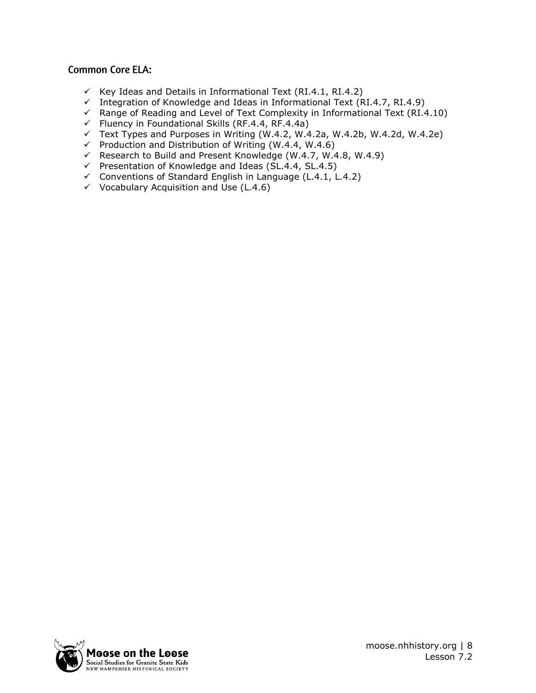### **Common Core ELA:**

- $\checkmark$  Key Ideas and Details in Informational Text (RI.4.1, RI.4.2)
- $\checkmark$  Integration of Knowledge and Ideas in Informational Text (RI.4.7, RI.4.9)
- $\checkmark$  Range of Reading and Level of Text Complexity in Informational Text (RI.4.10)
- $\checkmark$  Fluency in Foundational Skills (RF.4.4, RF.4.4a)
- $\checkmark$  Text Types and Purposes in Writing (W.4.2, W.4.2a, W.4.2b, W.4.2d, W.4.2e)
- $\checkmark$  Production and Distribution of Writing (W.4.4, W.4.6)
- ✓ Research to Build and Present Knowledge (W.4.7, W.4.8, W.4.9)
- $\checkmark$  Presentation of Knowledge and Ideas (SL.4.4, SL.4.5)
- ✓ Conventions of Standard English in Language (L.4.1, L.4.2)
- $\checkmark$  Vocabulary Acquisition and Use (L.4.6)

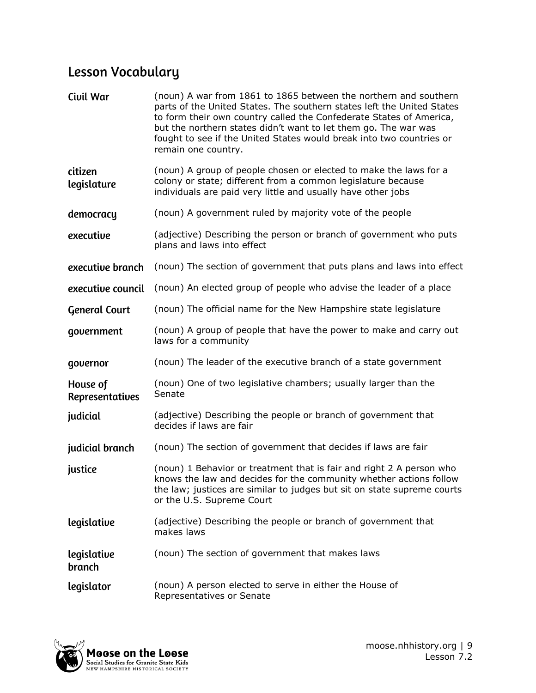# **Lesson Vocabulary**

| Civil War                   | (noun) A war from 1861 to 1865 between the northern and southern<br>parts of the United States. The southern states left the United States<br>to form their own country called the Confederate States of America,<br>but the northern states didn't want to let them go. The war was<br>fought to see if the United States would break into two countries or<br>remain one country. |
|-----------------------------|-------------------------------------------------------------------------------------------------------------------------------------------------------------------------------------------------------------------------------------------------------------------------------------------------------------------------------------------------------------------------------------|
| citizen<br>legislature      | (noun) A group of people chosen or elected to make the laws for a<br>colony or state; different from a common legislature because<br>individuals are paid very little and usually have other jobs                                                                                                                                                                                   |
| democracy                   | (noun) A government ruled by majority vote of the people                                                                                                                                                                                                                                                                                                                            |
| executive                   | (adjective) Describing the person or branch of government who puts<br>plans and laws into effect                                                                                                                                                                                                                                                                                    |
| executive branch            | (noun) The section of government that puts plans and laws into effect                                                                                                                                                                                                                                                                                                               |
| executive council           | (noun) An elected group of people who advise the leader of a place                                                                                                                                                                                                                                                                                                                  |
| <b>General Court</b>        | (noun) The official name for the New Hampshire state legislature                                                                                                                                                                                                                                                                                                                    |
| government                  | (noun) A group of people that have the power to make and carry out<br>laws for a community                                                                                                                                                                                                                                                                                          |
| governor                    | (noun) The leader of the executive branch of a state government                                                                                                                                                                                                                                                                                                                     |
| House of<br>Representatives | (noun) One of two legislative chambers; usually larger than the<br>Senate                                                                                                                                                                                                                                                                                                           |
| judicial                    | (adjective) Describing the people or branch of government that<br>decides if laws are fair                                                                                                                                                                                                                                                                                          |
| judicial branch             | (noun) The section of government that decides if laws are fair                                                                                                                                                                                                                                                                                                                      |
| justice                     | (noun) 1 Behavior or treatment that is fair and right 2 A person who<br>knows the law and decides for the community whether actions follow<br>the law; justices are similar to judges but sit on state supreme courts<br>or the U.S. Supreme Court                                                                                                                                  |
| legislative                 | (adjective) Describing the people or branch of government that<br>makes laws                                                                                                                                                                                                                                                                                                        |
| legislative<br>branch       | (noun) The section of government that makes laws                                                                                                                                                                                                                                                                                                                                    |
| legislator                  | (noun) A person elected to serve in either the House of<br>Representatives or Senate                                                                                                                                                                                                                                                                                                |